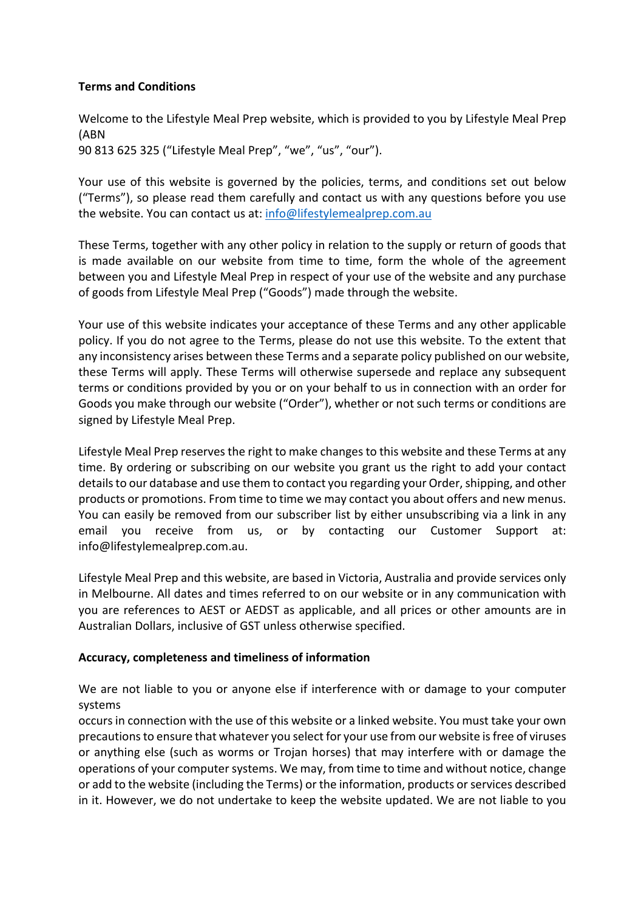## **Terms and Conditions**

Welcome to the Lifestyle Meal Prep website, which is provided to you by Lifestyle Meal Prep (ABN 90 813 625 325 ("Lifestyle Meal Prep", "we", "us", "our").

Your use of this website is governed by the policies, terms, and conditions set out below ("Terms"), so please read them carefully and contact us with any questions before you use the website. You can contact us at: info@lifestylemealprep.com.au

These Terms, together with any other policy in relation to the supply or return of goods that is made available on our website from time to time, form the whole of the agreement between you and Lifestyle Meal Prep in respect of your use of the website and any purchase of goods from Lifestyle Meal Prep ("Goods") made through the website.

Your use of this website indicates your acceptance of these Terms and any other applicable policy. If you do not agree to the Terms, please do not use this website. To the extent that any inconsistency arises between these Terms and a separate policy published on our website, these Terms will apply. These Terms will otherwise supersede and replace any subsequent terms or conditions provided by you or on your behalf to us in connection with an order for Goods you make through our website ("Order"), whether or not such terms or conditions are signed by Lifestyle Meal Prep.

Lifestyle Meal Prep reserves the right to make changes to this website and these Terms at any time. By ordering or subscribing on our website you grant us the right to add your contact details to our database and use them to contact you regarding your Order, shipping, and other products or promotions. From time to time we may contact you about offers and new menus. You can easily be removed from our subscriber list by either unsubscribing via a link in any email you receive from us, or by contacting our Customer Support at: info@lifestylemealprep.com.au.

Lifestyle Meal Prep and this website, are based in Victoria, Australia and provide services only in Melbourne. All dates and times referred to on our website or in any communication with you are references to AEST or AEDST as applicable, and all prices or other amounts are in Australian Dollars, inclusive of GST unless otherwise specified.

### **Accuracy, completeness and timeliness of information**

We are not liable to you or anyone else if interference with or damage to your computer systems

occurs in connection with the use of this website or a linked website. You must take your own precautions to ensure that whatever you select for your use from our website is free of viruses or anything else (such as worms or Trojan horses) that may interfere with or damage the operations of your computer systems. We may, from time to time and without notice, change or add to the website (including the Terms) or the information, products or services described in it. However, we do not undertake to keep the website updated. We are not liable to you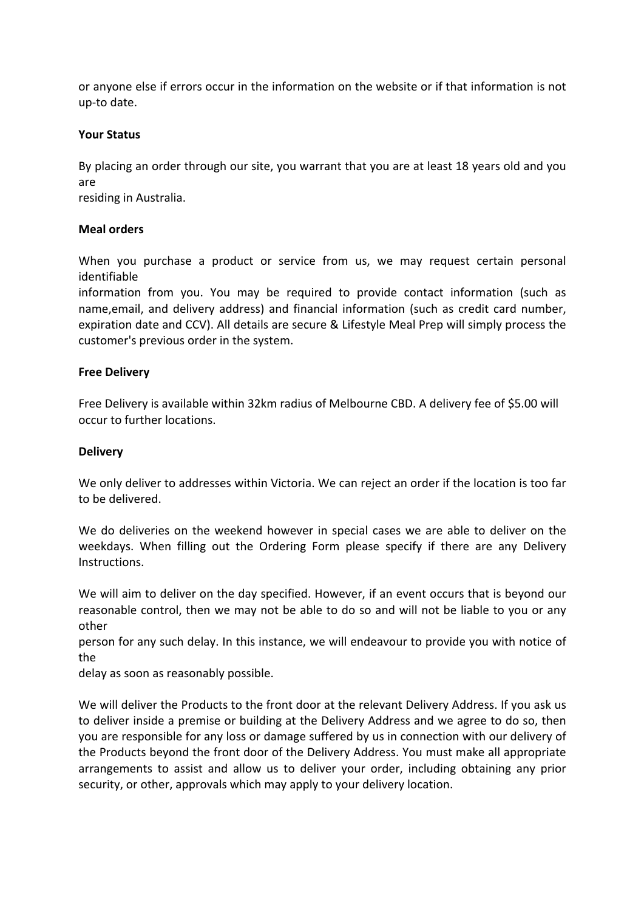or anyone else if errors occur in the information on the website or if that information is not up-to date.

### **Your Status**

By placing an order through our site, you warrant that you are at least 18 years old and you are

residing in Australia.

#### **Meal orders**

When you purchase a product or service from us, we may request certain personal identifiable

information from you. You may be required to provide contact information (such as name,email, and delivery address) and financial information (such as credit card number, expiration date and CCV). All details are secure & Lifestyle Meal Prep will simply process the customer's previous order in the system.

#### **Free Delivery**

Free Delivery is available within 32km radius of Melbourne CBD. A delivery fee of \$5.00 will occur to further locations.

#### **Delivery**

We only deliver to addresses within Victoria. We can reject an order if the location is too far to be delivered.

We do deliveries on the weekend however in special cases we are able to deliver on the weekdays. When filling out the Ordering Form please specify if there are any Delivery Instructions.

We will aim to deliver on the day specified. However, if an event occurs that is beyond our reasonable control, then we may not be able to do so and will not be liable to you or any other

person for any such delay. In this instance, we will endeavour to provide you with notice of the

delay as soon as reasonably possible.

We will deliver the Products to the front door at the relevant Delivery Address. If you ask us to deliver inside a premise or building at the Delivery Address and we agree to do so, then you are responsible for any loss or damage suffered by us in connection with our delivery of the Products beyond the front door of the Delivery Address. You must make all appropriate arrangements to assist and allow us to deliver your order, including obtaining any prior security, or other, approvals which may apply to your delivery location.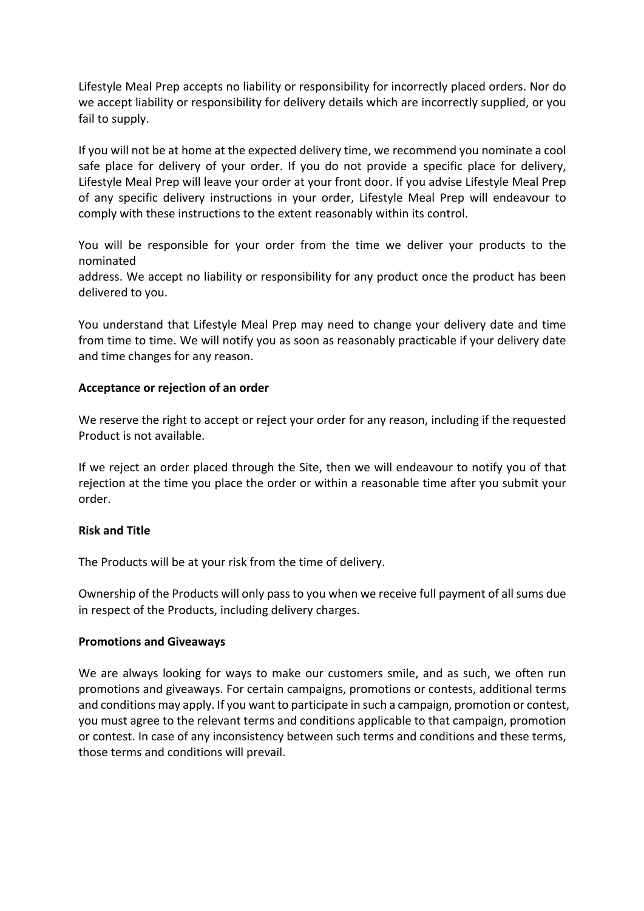Lifestyle Meal Prep accepts no liability or responsibility for incorrectly placed orders. Nor do we accept liability or responsibility for delivery details which are incorrectly supplied, or you fail to supply.

If you will not be at home at the expected delivery time, we recommend you nominate a cool safe place for delivery of your order. If you do not provide a specific place for delivery, Lifestyle Meal Prep will leave your order at your front door. If you advise Lifestyle Meal Prep of any specific delivery instructions in your order, Lifestyle Meal Prep will endeavour to comply with these instructions to the extent reasonably within its control.

You will be responsible for your order from the time we deliver your products to the nominated

address. We accept no liability or responsibility for any product once the product has been delivered to you.

You understand that Lifestyle Meal Prep may need to change your delivery date and time from time to time. We will notify you as soon as reasonably practicable if your delivery date and time changes for any reason.

### **Acceptance or rejection of an order**

We reserve the right to accept or reject your order for any reason, including if the requested Product is not available.

If we reject an order placed through the Site, then we will endeavour to notify you of that rejection at the time you place the order or within a reasonable time after you submit your order.

### **Risk and Title**

The Products will be at your risk from the time of delivery.

Ownership of the Products will only pass to you when we receive full payment of all sums due in respect of the Products, including delivery charges.

### **Promotions and Giveaways**

We are always looking for ways to make our customers smile, and as such, we often run promotions and giveaways. For certain campaigns, promotions or contests, additional terms and conditions may apply. If you want to participate in such a campaign, promotion or contest, you must agree to the relevant terms and conditions applicable to that campaign, promotion or contest. In case of any inconsistency between such terms and conditions and these terms, those terms and conditions will prevail.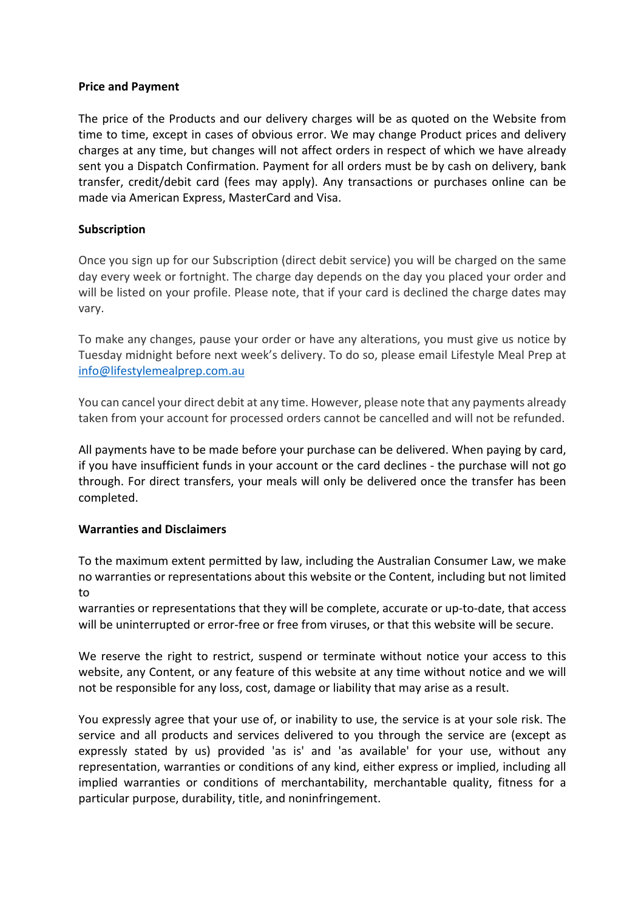### **Price and Payment**

The price of the Products and our delivery charges will be as quoted on the Website from time to time, except in cases of obvious error. We may change Product prices and delivery charges at any time, but changes will not affect orders in respect of which we have already sent you a Dispatch Confirmation. Payment for all orders must be by cash on delivery, bank transfer, credit/debit card (fees may apply). Any transactions or purchases online can be made via American Express, MasterCard and Visa.

### **Subscription**

Once you sign up for our Subscription (direct debit service) you will be charged on the same day every week or fortnight. The charge day depends on the day you placed your order and will be listed on your profile. Please note, that if your card is declined the charge dates may vary.

To make any changes, pause your order or have any alterations, you must give us notice by Tuesday midnight before next week's delivery. To do so, please email Lifestyle Meal Prep at info@lifestylemealprep.com.au

You can cancel your direct debit at any time. However, please note that any payments already taken from your account for processed orders cannot be cancelled and will not be refunded.

All payments have to be made before your purchase can be delivered. When paying by card, if you have insufficient funds in your account or the card declines - the purchase will not go through. For direct transfers, your meals will only be delivered once the transfer has been completed.

### **Warranties and Disclaimers**

To the maximum extent permitted by law, including the Australian Consumer Law, we make no warranties or representations about this website or the Content, including but not limited to

warranties or representations that they will be complete, accurate or up-to-date, that access will be uninterrupted or error-free or free from viruses, or that this website will be secure.

We reserve the right to restrict, suspend or terminate without notice your access to this website, any Content, or any feature of this website at any time without notice and we will not be responsible for any loss, cost, damage or liability that may arise as a result.

You expressly agree that your use of, or inability to use, the service is at your sole risk. The service and all products and services delivered to you through the service are (except as expressly stated by us) provided 'as is' and 'as available' for your use, without any representation, warranties or conditions of any kind, either express or implied, including all implied warranties or conditions of merchantability, merchantable quality, fitness for a particular purpose, durability, title, and noninfringement.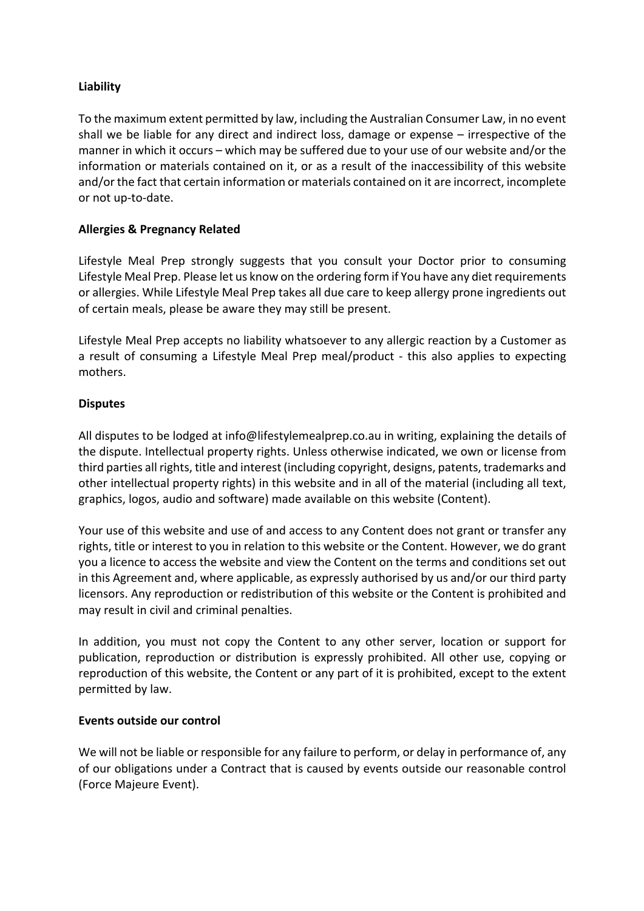## **Liability**

To the maximum extent permitted by law, including the Australian Consumer Law, in no event shall we be liable for any direct and indirect loss, damage or expense – irrespective of the manner in which it occurs – which may be suffered due to your use of our website and/or the information or materials contained on it, or as a result of the inaccessibility of this website and/or the fact that certain information or materials contained on it are incorrect, incomplete or not up-to-date.

## **Allergies & Pregnancy Related**

Lifestyle Meal Prep strongly suggests that you consult your Doctor prior to consuming Lifestyle Meal Prep. Please let us know on the ordering form if You have any diet requirements or allergies. While Lifestyle Meal Prep takes all due care to keep allergy prone ingredients out of certain meals, please be aware they may still be present.

Lifestyle Meal Prep accepts no liability whatsoever to any allergic reaction by a Customer as a result of consuming a Lifestyle Meal Prep meal/product - this also applies to expecting mothers.

## **Disputes**

All disputes to be lodged at info@lifestylemealprep.co.au in writing, explaining the details of the dispute. Intellectual property rights. Unless otherwise indicated, we own or license from third parties all rights, title and interest (including copyright, designs, patents, trademarks and other intellectual property rights) in this website and in all of the material (including all text, graphics, logos, audio and software) made available on this website (Content).

Your use of this website and use of and access to any Content does not grant or transfer any rights, title or interest to you in relation to this website or the Content. However, we do grant you a licence to access the website and view the Content on the terms and conditions set out in this Agreement and, where applicable, as expressly authorised by us and/or our third party licensors. Any reproduction or redistribution of this website or the Content is prohibited and may result in civil and criminal penalties.

In addition, you must not copy the Content to any other server, location or support for publication, reproduction or distribution is expressly prohibited. All other use, copying or reproduction of this website, the Content or any part of it is prohibited, except to the extent permitted by law.

### **Events outside our control**

We will not be liable or responsible for any failure to perform, or delay in performance of, any of our obligations under a Contract that is caused by events outside our reasonable control (Force Majeure Event).